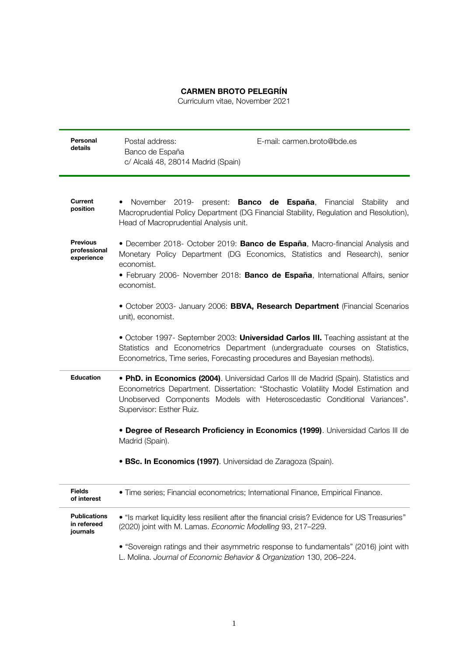## **CARMEN BROTO PELEGRÍN**

Curriculum vitae, November 2021

| Personal<br>details                            | E-mail: carmen.broto@bde.es<br>Postal address:<br>Banco de España<br>c/ Alcalá 48, 28014 Madrid (Spain)                                                                                                                                                                             |
|------------------------------------------------|-------------------------------------------------------------------------------------------------------------------------------------------------------------------------------------------------------------------------------------------------------------------------------------|
| Current<br>position                            | November 2019- present: <b>Banco de España</b> , Financial Stability<br>and<br>$\bullet$<br>Macroprudential Policy Department (DG Financial Stability, Regulation and Resolution),<br>Head of Macroprudential Analysis unit.                                                        |
| <b>Previous</b><br>professional<br>experience  | • December 2018- October 2019: Banco de España, Macro-financial Analysis and<br>Monetary Policy Department (DG Economics, Statistics and Research), senior<br>economist.<br>• February 2006- November 2018: Banco de España, International Affairs, senior<br>economist.            |
|                                                | • October 2003- January 2006: BBVA, Research Department (Financial Scenarios<br>unit), economist.                                                                                                                                                                                   |
|                                                | • October 1997- September 2003: Universidad Carlos III. Teaching assistant at the<br>Statistics and Econometrics Department (undergraduate courses on Statistics,<br>Econometrics, Time series, Forecasting procedures and Bayesian methods).                                       |
| <b>Education</b>                               | • PhD. in Economics (2004). Universidad Carlos III de Madrid (Spain). Statistics and<br>Econometrics Department. Dissertation: "Stochastic Volatility Model Estimation and<br>Unobserved Components Models with Heteroscedastic Conditional Variances".<br>Supervisor: Esther Ruiz. |
|                                                | • Degree of Research Proficiency in Economics (1999). Universidad Carlos III de<br>Madrid (Spain).                                                                                                                                                                                  |
|                                                | • BSc. In Economics (1997). Universidad de Zaragoza (Spain).                                                                                                                                                                                                                        |
| <b>Fields</b><br>of interest                   | · Time series; Financial econometrics; International Finance, Empirical Finance.                                                                                                                                                                                                    |
| <b>Publications</b><br>in refereed<br>journals | • "Is market liquidity less resilient after the financial crisis? Evidence for US Treasuries"<br>(2020) joint with M. Lamas. Economic Modelling 93, 217-229.                                                                                                                        |
|                                                | • "Sovereign ratings and their asymmetric response to fundamentals" (2016) joint with<br>L. Molina. Journal of Economic Behavior & Organization 130, 206-224.                                                                                                                       |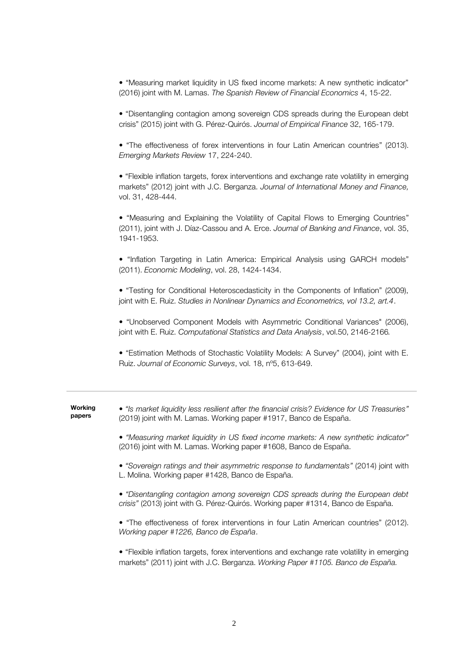• "Measuring market liquidity in US fixed income markets: A new synthetic indicator" (2016) joint with M. Lamas. *The Spanish Review of Financial Economics* 4, 15-22.

• "Disentangling contagion among sovereign CDS spreads during the European debt crisis" (2015) joint with G. Pérez-Quirós. *Journal of Empirical Finance* 32, 165-179.

• "The effectiveness of forex interventions in four Latin American countries" (2013). *Emerging Markets Review* 17, 224-240.

• "Flexible inflation targets, forex interventions and exchange rate volatility in emerging markets" (2012) joint with J.C. Berganza. *Journal of International Money and Finance,*  vol. 31, 428-444.

• "Measuring and Explaining the Volatility of Capital Flows to Emerging Countries" (2011), joint with J. Díaz-Cassou and A. Erce. *Journal of Banking and Finance*, vol. 35, 1941-1953.

• "Inflation Targeting in Latin America: Empirical Analysis using GARCH models" (2011). *Economic Modeling*, vol. 28, 1424-1434.

• "Testing for Conditional Heteroscedasticity in the Components of Inflation" (2009), joint with E. Ruiz. *Studies in Nonlinear Dynamics and Econometrics, vol 13.2, art.4*.

• "Unobserved Component Models with Asymmetric Conditional Variances" (2006), joint with E. Ruiz. *Computational Statistics and Data Analysis*, vol.50, 2146-2166*.*

• "Estimation Methods of Stochastic Volatility Models: A Survey" (2004), joint with E. Ruiz. *Journal of Economic Surveys*, vol. 18, nº5, 613-649.

| Working<br>papers | • "Is market liquidity less resilient after the financial crisis? Evidence for US Treasuries"<br>(2019) joint with M. Lamas. Working paper #1917, Banco de España.             |
|-------------------|--------------------------------------------------------------------------------------------------------------------------------------------------------------------------------|
|                   | • "Measuring market liquidity in US fixed income markets: A new synthetic indicator"<br>(2016) joint with M. Lamas. Working paper #1608, Banco de España.                      |
|                   | • "Sovereign ratings and their asymmetric response to fundamentals" (2014) joint with<br>L. Molina. Working paper #1428, Banco de España.                                      |
|                   | • "Disentangling contagion among sovereign CDS spreads during the European debt<br>crisis" (2013) joint with G. Pérez-Quirós. Working paper #1314, Banco de España.            |
|                   | • "The effectiveness of forex interventions in four Latin American countries" (2012).<br>Working paper #1226, Banco de España.                                                 |
|                   | • "Flexible inflation targets, forex interventions and exchange rate volatility in emerging<br>markets" (2011) joint with J.C. Berganza. Working Paper #1105. Banco de España. |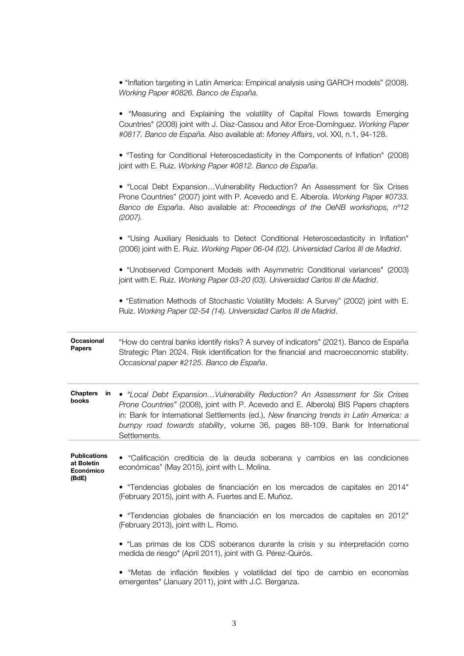| • "Inflation targeting in Latin America: Empirical analysis using GARCH models" (2008). |  |
|-----------------------------------------------------------------------------------------|--|
| Working Paper #0826. Banco de España.                                                   |  |

|                                                | • "Measuring and Explaining the volatility of Capital Flows towards Emerging<br>Countries" (2008) joint with J. Díaz-Cassou and Aitor Erce-Domínguez. Working Paper<br>#0817. Banco de España. Also available at: Money Affairs, vol. XXI, n.1, 94-128.                                                                                                        |
|------------------------------------------------|----------------------------------------------------------------------------------------------------------------------------------------------------------------------------------------------------------------------------------------------------------------------------------------------------------------------------------------------------------------|
|                                                | • "Testing for Conditional Heteroscedasticity in the Components of Inflation" (2008)<br>joint with E. Ruiz. Working Paper #0812. Banco de España.                                                                                                                                                                                                              |
|                                                | • "Local Debt ExpansionVulnerability Reduction? An Assessment for Six Crises<br>Prone Countries" (2007) joint with P. Acevedo and E. Alberola. Working Paper #0733.<br>Banco de España. Also available at: Proceedings of the OeNB workshops, n°12<br>$(2007)$ .                                                                                               |
|                                                | • "Using Auxiliary Residuals to Detect Conditional Heteroscedasticity in Inflation"<br>(2006) joint with E. Ruiz. Working Paper 06-04 (02). Universidad Carlos III de Madrid.                                                                                                                                                                                  |
|                                                | • "Unobserved Component Models with Asymmetric Conditional variances" (2003)<br>joint with E. Ruiz. Working Paper 03-20 (03). Universidad Carlos III de Madrid.                                                                                                                                                                                                |
|                                                | • "Estimation Methods of Stochastic Volatility Models: A Survey" (2002) joint with E.<br>Ruiz. Working Paper 02-54 (14). Universidad Carlos III de Madrid.                                                                                                                                                                                                     |
| Occasional<br><b>Papers</b>                    | "How do central banks identify risks? A survey of indicators" (2021). Banco de España<br>Strategic Plan 2024. Risk identification for the financial and macroeconomic stability.<br>Occasional paper #2125. Banco de España.                                                                                                                                   |
| <b>Chapters</b><br>in<br>books                 | • "Local Debt ExpansionVulnerability Reduction? An Assessment for Six Crises<br>Prone Countries" (2008), joint with P. Acevedo and E. Alberola) BIS Papers chapters<br>in: Bank for International Settlements (ed.), New financing trends in Latin America: a<br>bumpy road towards stability, volume 36, pages 88-109. Bank for International<br>Settlements. |
| <b>Publications</b><br>at Boletín<br>Económico | "Calificación crediticia de la deuda soberana y cambios en las condiciones<br>económicas" (May 2015), joint with L. Molina.                                                                                                                                                                                                                                    |
| (BdE)                                          | • "Tendencias globales de financiación en los mercados de capitales en 2014"<br>(February 2015), joint with A. Fuertes and E. Muñoz.                                                                                                                                                                                                                           |
|                                                | • "Tendencias globales de financiación en los mercados de capitales en 2012"<br>(February 2013), joint with L. Romo.                                                                                                                                                                                                                                           |
|                                                | • "Las primas de los CDS soberanos durante la crisis y su interpretación como<br>medida de riesgo" (April 2011), joint with G. Pérez-Quirós.                                                                                                                                                                                                                   |
|                                                | · "Metas de inflación flexibles y volatilidad del tipo de cambio en economías<br>emergentes" (January 2011), joint with J.C. Berganza.                                                                                                                                                                                                                         |